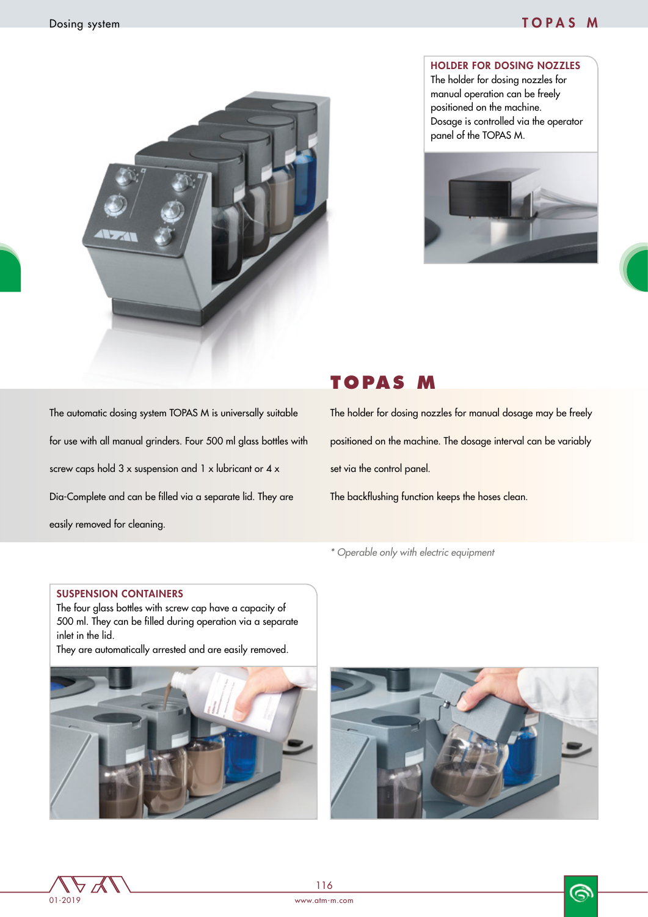## Dosing system **TOPAS M**

#### HOLDER FOR DOSING NOZZLES The holder for dosing nozzles for manual operation can be freely positioned on the machine. Dosage is controlled via the operator panel of the TOPAS M.





# **TOPAS M**

The holder for dosing nozzles for manual dosage may be freely positioned on the machine. The dosage interval can be variably set via the control panel.

The backflushing function keeps the hoses clean.

*\* Operable only with electric equipment*

#### SUSPENSION CONTAINERS

easily removed for cleaning.

The four glass bottles with screw cap have a capacity of 500 ml. They can be filled during operation via a separate inlet in the lid.

The automatic dosing system TOPAS M is universally suitable

screw caps hold 3 x suspension and 1 x lubricant or 4 x

Dia-Complete and can be filled via a separate lid. They are

for use with all manual grinders. Four 500 ml glass bottles with

They are automatically arrested and are easily removed.







6